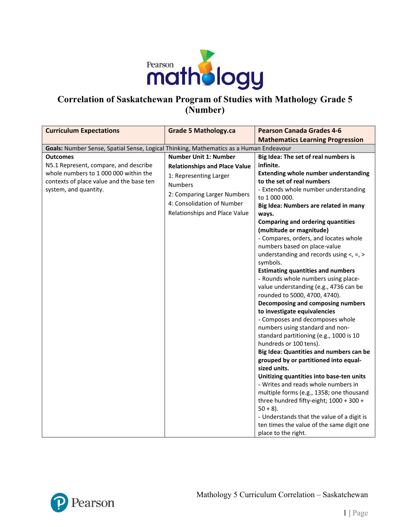

## **Correlation of Saskatchewan Program of Studies with Mathology Grade 5 (Number)**

| <b>Curriculum Expectations</b>                                                                                                                                         | <b>Grade 5 Mathology.ca</b>                                                                                                                                                                                    | <b>Pearson Canada Grades 4-6</b>                                                                                                                                                                                                                                                                                                                                                                                                                                                                                                                                                                                                                                                                                                                                                                                                                                                                                                                                                                                            |
|------------------------------------------------------------------------------------------------------------------------------------------------------------------------|----------------------------------------------------------------------------------------------------------------------------------------------------------------------------------------------------------------|-----------------------------------------------------------------------------------------------------------------------------------------------------------------------------------------------------------------------------------------------------------------------------------------------------------------------------------------------------------------------------------------------------------------------------------------------------------------------------------------------------------------------------------------------------------------------------------------------------------------------------------------------------------------------------------------------------------------------------------------------------------------------------------------------------------------------------------------------------------------------------------------------------------------------------------------------------------------------------------------------------------------------------|
|                                                                                                                                                                        |                                                                                                                                                                                                                | <b>Mathematics Learning Progression</b>                                                                                                                                                                                                                                                                                                                                                                                                                                                                                                                                                                                                                                                                                                                                                                                                                                                                                                                                                                                     |
| Goals: Number Sense, Spatial Sense, Logical Thinking, Mathematics as a Human Endeavour                                                                                 |                                                                                                                                                                                                                |                                                                                                                                                                                                                                                                                                                                                                                                                                                                                                                                                                                                                                                                                                                                                                                                                                                                                                                                                                                                                             |
| <b>Outcomes</b><br>N5.1 Represent, compare, and describe<br>whole numbers to 1 000 000 within the<br>contexts of place value and the base ten<br>system, and quantity. | <b>Number Unit 1: Number</b><br><b>Relationships and Place Value</b><br>1: Representing Larger<br><b>Numbers</b><br>2: Comparing Larger Numbers<br>4: Consolidation of Number<br>Relationships and Place Value | Big Idea: The set of real numbers is<br>infinite.<br><b>Extending whole number understanding</b><br>to the set of real numbers<br>- Extends whole number understanding<br>to 1 000 000.<br>Big Idea: Numbers are related in many<br>ways.<br><b>Comparing and ordering quantities</b><br>(multitude or magnitude)<br>- Compares, orders, and locates whole<br>numbers based on place-value<br>understanding and records using $\lt$ , =, ><br>symbols.<br><b>Estimating quantities and numbers</b><br>- Rounds whole numbers using place-<br>value understanding (e.g., 4736 can be<br>rounded to 5000, 4700, 4740).<br>Decomposing and composing numbers<br>to investigate equivalencies<br>- Composes and decomposes whole<br>numbers using standard and non-<br>standard partitioning (e.g., 1000 is 10<br>hundreds or 100 tens).<br>Big Idea: Quantities and numbers can be<br>grouped by or partitioned into equal-<br>sized units.<br>Unitizing quantities into base-ten units<br>- Writes and reads whole numbers in |
|                                                                                                                                                                        |                                                                                                                                                                                                                | multiple forms (e.g., 1358; one thousand<br>three hundred fifty-eight; 1000 + 300 +<br>$50 + 8$ ).<br>- Understands that the value of a digit is<br>ten times the value of the same digit one<br>place to the right.                                                                                                                                                                                                                                                                                                                                                                                                                                                                                                                                                                                                                                                                                                                                                                                                        |

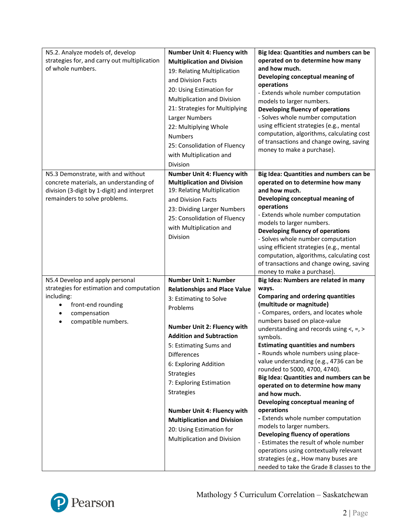| N5.2. Analyze models of, develop<br>strategies for, and carry out multiplication<br>of whole numbers.                                                                                  | Number Unit 4: Fluency with<br><b>Multiplication and Division</b><br>19: Relating Multiplication<br>and Division Facts<br>20: Using Estimation for<br>Multiplication and Division<br>21: Strategies for Multiplying<br>Larger Numbers<br>22: Multiplying Whole<br><b>Numbers</b><br>25: Consolidation of Fluency<br>with Multiplication and<br><b>Division</b>                                                                                             | Big Idea: Quantities and numbers can be<br>operated on to determine how many<br>and how much.<br>Developing conceptual meaning of<br>operations<br>- Extends whole number computation<br>models to larger numbers.<br>Developing fluency of operations<br>- Solves whole number computation<br>using efficient strategies (e.g., mental<br>computation, algorithms, calculating cost<br>of transactions and change owing, saving<br>money to make a purchase).                                                                                                                                                                                                                                                                                                                                                                                               |
|----------------------------------------------------------------------------------------------------------------------------------------------------------------------------------------|------------------------------------------------------------------------------------------------------------------------------------------------------------------------------------------------------------------------------------------------------------------------------------------------------------------------------------------------------------------------------------------------------------------------------------------------------------|--------------------------------------------------------------------------------------------------------------------------------------------------------------------------------------------------------------------------------------------------------------------------------------------------------------------------------------------------------------------------------------------------------------------------------------------------------------------------------------------------------------------------------------------------------------------------------------------------------------------------------------------------------------------------------------------------------------------------------------------------------------------------------------------------------------------------------------------------------------|
| N5.3 Demonstrate, with and without<br>concrete materials, an understanding of<br>division (3-digit by 1-digit) and interpret<br>remainders to solve problems.                          | Number Unit 4: Fluency with<br><b>Multiplication and Division</b><br>19: Relating Multiplication<br>and Division Facts<br>23: Dividing Larger Numbers<br>25: Consolidation of Fluency<br>with Multiplication and<br><b>Division</b>                                                                                                                                                                                                                        | Big Idea: Quantities and numbers can be<br>operated on to determine how many<br>and how much.<br>Developing conceptual meaning of<br>operations<br>- Extends whole number computation<br>models to larger numbers.<br>Developing fluency of operations<br>- Solves whole number computation<br>using efficient strategies (e.g., mental<br>computation, algorithms, calculating cost<br>of transactions and change owing, saving<br>money to make a purchase).                                                                                                                                                                                                                                                                                                                                                                                               |
| N5.4 Develop and apply personal<br>strategies for estimation and computation<br>including:<br>front-end rounding<br>$\bullet$<br>compensation<br>٠<br>compatible numbers.<br>$\bullet$ | <b>Number Unit 1: Number</b><br><b>Relationships and Place Value</b><br>3: Estimating to Solve<br>Problems<br>Number Unit 2: Fluency with<br><b>Addition and Subtraction</b><br>5: Estimating Sums and<br><b>Differences</b><br>6: Exploring Addition<br><b>Strategies</b><br>7: Exploring Estimation<br><b>Strategies</b><br>Number Unit 4: Fluency with<br><b>Multiplication and Division</b><br>20: Using Estimation for<br>Multiplication and Division | Big Idea: Numbers are related in many<br>ways.<br><b>Comparing and ordering quantities</b><br>(multitude or magnitude)<br>- Compares, orders, and locates whole<br>numbers based on place-value<br>understanding and records using $\lt$ , =, ><br>symbols.<br><b>Estimating quantities and numbers</b><br>- Rounds whole numbers using place-<br>value understanding (e.g., 4736 can be<br>rounded to 5000, 4700, 4740).<br>Big Idea: Quantities and numbers can be<br>operated on to determine how many<br>and how much.<br>Developing conceptual meaning of<br>operations<br>- Extends whole number computation<br>models to larger numbers.<br>Developing fluency of operations<br>- Estimates the result of whole number<br>operations using contextually relevant<br>strategies (e.g., How many buses are<br>needed to take the Grade 8 classes to the |

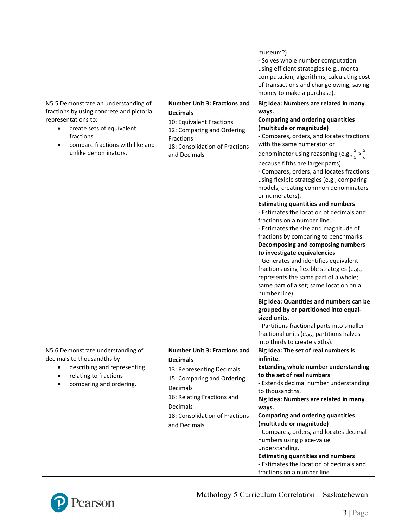|                                                                                                                                                                                                               |                                                                                                                                                                                                                           | museum?).<br>- Solves whole number computation<br>using efficient strategies (e.g., mental<br>computation, algorithms, calculating cost<br>of transactions and change owing, saving<br>money to make a purchase).                                                                                                                                                                                                                                                                                                                                                                                                                                                                                                                                                                                                                                                                                                                                                                                                                                                                                                                                                       |
|---------------------------------------------------------------------------------------------------------------------------------------------------------------------------------------------------------------|---------------------------------------------------------------------------------------------------------------------------------------------------------------------------------------------------------------------------|-------------------------------------------------------------------------------------------------------------------------------------------------------------------------------------------------------------------------------------------------------------------------------------------------------------------------------------------------------------------------------------------------------------------------------------------------------------------------------------------------------------------------------------------------------------------------------------------------------------------------------------------------------------------------------------------------------------------------------------------------------------------------------------------------------------------------------------------------------------------------------------------------------------------------------------------------------------------------------------------------------------------------------------------------------------------------------------------------------------------------------------------------------------------------|
| N5.5 Demonstrate an understanding of<br>fractions by using concrete and pictorial<br>representations to:<br>create sets of equivalent<br>fractions<br>compare fractions with like and<br>unlike denominators. | <b>Number Unit 3: Fractions and</b><br><b>Decimals</b><br>10: Equivalent Fractions<br>12: Comparing and Ordering<br>Fractions<br>18: Consolidation of Fractions<br>and Decimals                                           | Big Idea: Numbers are related in many<br>ways.<br><b>Comparing and ordering quantities</b><br>(multitude or magnitude)<br>- Compares, orders, and locates fractions<br>with the same numerator or<br>denominator using reasoning (e.g., $\frac{3}{5} > \frac{3}{6}$<br>because fifths are larger parts).<br>- Compares, orders, and locates fractions<br>using flexible strategies (e.g., comparing<br>models; creating common denominators<br>or numerators).<br><b>Estimating quantities and numbers</b><br>- Estimates the location of decimals and<br>fractions on a number line.<br>- Estimates the size and magnitude of<br>fractions by comparing to benchmarks.<br>Decomposing and composing numbers<br>to investigate equivalencies<br>- Generates and identifies equivalent<br>fractions using flexible strategies (e.g.,<br>represents the same part of a whole;<br>same part of a set; same location on a<br>number line).<br>Big Idea: Quantities and numbers can be<br>grouped by or partitioned into equal-<br>sized units.<br>- Partitions fractional parts into smaller<br>fractional units (e.g., partitions halves<br>into thirds to create sixths). |
| N5.6 Demonstrate understanding of<br>decimals to thousandths by:<br>describing and representing<br>relating to fractions<br>$\bullet$<br>comparing and ordering.                                              | <b>Number Unit 3: Fractions and</b><br><b>Decimals</b><br>13: Representing Decimals<br>15: Comparing and Ordering<br>Decimals<br>16: Relating Fractions and<br>Decimals<br>18: Consolidation of Fractions<br>and Decimals | Big Idea: The set of real numbers is<br>infinite.<br><b>Extending whole number understanding</b><br>to the set of real numbers<br>- Extends decimal number understanding<br>to thousandths.<br>Big Idea: Numbers are related in many<br>ways.<br><b>Comparing and ordering quantities</b><br>(multitude or magnitude)<br>- Compares, orders, and locates decimal<br>numbers using place-value<br>understanding.<br><b>Estimating quantities and numbers</b><br>- Estimates the location of decimals and<br>fractions on a number line.                                                                                                                                                                                                                                                                                                                                                                                                                                                                                                                                                                                                                                  |

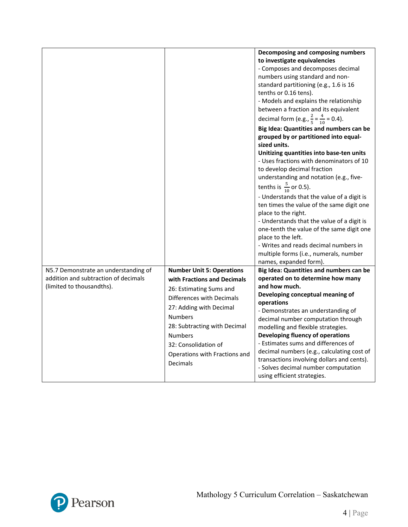|                                                                   |                                                                                                                                                                                                                                                         | Decomposing and composing numbers<br>to investigate equivalencies<br>- Composes and decomposes decimal<br>numbers using standard and non-<br>standard partitioning (e.g., 1.6 is 16<br>tenths or 0.16 tens).<br>- Models and explains the relationship<br>between a fraction and its equivalent<br>decimal form (e.g., $\frac{2}{5} = \frac{4}{10} = 0.4$ ).<br>Big Idea: Quantities and numbers can be<br>grouped by or partitioned into equal-<br>sized units.<br>Unitizing quantities into base-ten units<br>- Uses fractions with denominators of 10<br>to develop decimal fraction<br>understanding and notation (e.g., five-<br>tenths is $\frac{5}{10}$ or 0.5).<br>- Understands that the value of a digit is<br>ten times the value of the same digit one<br>place to the right.<br>- Understands that the value of a digit is<br>one-tenth the value of the same digit one<br>place to the left.<br>- Writes and reads decimal numbers in<br>multiple forms (i.e., numerals, number |
|-------------------------------------------------------------------|---------------------------------------------------------------------------------------------------------------------------------------------------------------------------------------------------------------------------------------------------------|-----------------------------------------------------------------------------------------------------------------------------------------------------------------------------------------------------------------------------------------------------------------------------------------------------------------------------------------------------------------------------------------------------------------------------------------------------------------------------------------------------------------------------------------------------------------------------------------------------------------------------------------------------------------------------------------------------------------------------------------------------------------------------------------------------------------------------------------------------------------------------------------------------------------------------------------------------------------------------------------------|
| N5.7 Demonstrate an understanding of                              | <b>Number Unit 5: Operations</b>                                                                                                                                                                                                                        | names, expanded form).<br>Big Idea: Quantities and numbers can be                                                                                                                                                                                                                                                                                                                                                                                                                                                                                                                                                                                                                                                                                                                                                                                                                                                                                                                             |
| addition and subtraction of decimals<br>(limited to thousandths). | with Fractions and Decimals<br>26: Estimating Sums and<br>Differences with Decimals<br>27: Adding with Decimal<br><b>Numbers</b><br>28: Subtracting with Decimal<br><b>Numbers</b><br>32: Consolidation of<br>Operations with Fractions and<br>Decimals | operated on to determine how many<br>and how much.<br>Developing conceptual meaning of<br>operations<br>- Demonstrates an understanding of<br>decimal number computation through<br>modelling and flexible strategies.<br>Developing fluency of operations<br>- Estimates sums and differences of<br>decimal numbers (e.g., calculating cost of<br>transactions involving dollars and cents).<br>- Solves decimal number computation<br>using efficient strategies.                                                                                                                                                                                                                                                                                                                                                                                                                                                                                                                           |

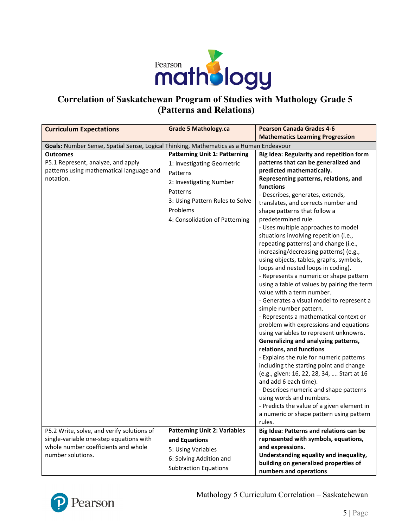

## **Correlation of Saskatchewan Program of Studies with Mathology Grade 5 (Patterns and Relations)**

| <b>Curriculum Expectations</b>                                                                                 | <b>Grade 5 Mathology.ca</b>                                                                                                                                                                            | <b>Pearson Canada Grades 4-6</b>                                                                                                                                                                                                                                                                                                                                                                                                                                                                                                                                                                                                                                                                                                                                                                                                                                                                                                                                                                                                                                                                                                                                                                                                                                                                   |
|----------------------------------------------------------------------------------------------------------------|--------------------------------------------------------------------------------------------------------------------------------------------------------------------------------------------------------|----------------------------------------------------------------------------------------------------------------------------------------------------------------------------------------------------------------------------------------------------------------------------------------------------------------------------------------------------------------------------------------------------------------------------------------------------------------------------------------------------------------------------------------------------------------------------------------------------------------------------------------------------------------------------------------------------------------------------------------------------------------------------------------------------------------------------------------------------------------------------------------------------------------------------------------------------------------------------------------------------------------------------------------------------------------------------------------------------------------------------------------------------------------------------------------------------------------------------------------------------------------------------------------------------|
|                                                                                                                |                                                                                                                                                                                                        | <b>Mathematics Learning Progression</b>                                                                                                                                                                                                                                                                                                                                                                                                                                                                                                                                                                                                                                                                                                                                                                                                                                                                                                                                                                                                                                                                                                                                                                                                                                                            |
| Goals: Number Sense, Spatial Sense, Logical Thinking, Mathematics as a Human Endeavour                         |                                                                                                                                                                                                        |                                                                                                                                                                                                                                                                                                                                                                                                                                                                                                                                                                                                                                                                                                                                                                                                                                                                                                                                                                                                                                                                                                                                                                                                                                                                                                    |
| <b>Outcomes</b><br>P5.1 Represent, analyze, and apply<br>patterns using mathematical language and<br>notation. | <b>Patterning Unit 1: Patterning</b><br>1: Investigating Geometric<br>Patterns<br>2: Investigating Number<br>Patterns<br>3: Using Pattern Rules to Solve<br>Problems<br>4: Consolidation of Patterning | Big Idea: Regularity and repetition form<br>patterns that can be generalized and<br>predicted mathematically.<br>Representing patterns, relations, and<br>functions<br>- Describes, generates, extends,<br>translates, and corrects number and<br>shape patterns that follow a<br>predetermined rule.<br>- Uses multiple approaches to model<br>situations involving repetition (i.e.,<br>repeating patterns) and change (i.e.,<br>increasing/decreasing patterns) (e.g.,<br>using objects, tables, graphs, symbols,<br>loops and nested loops in coding).<br>- Represents a numeric or shape pattern<br>using a table of values by pairing the term<br>value with a term number.<br>- Generates a visual model to represent a<br>simple number pattern.<br>- Represents a mathematical context or<br>problem with expressions and equations<br>using variables to represent unknowns.<br>Generalizing and analyzing patterns,<br>relations, and functions<br>- Explains the rule for numeric patterns<br>including the starting point and change<br>(e.g., given: 16, 22, 28, 34,  Start at 16<br>and add 6 each time).<br>- Describes numeric and shape patterns<br>using words and numbers.<br>- Predicts the value of a given element in<br>a numeric or shape pattern using pattern<br>rules. |
| P5.2 Write, solve, and verify solutions of<br>single-variable one-step equations with                          | <b>Patterning Unit 2: Variables</b><br>and Equations                                                                                                                                                   | Big Idea: Patterns and relations can be<br>represented with symbols, equations,                                                                                                                                                                                                                                                                                                                                                                                                                                                                                                                                                                                                                                                                                                                                                                                                                                                                                                                                                                                                                                                                                                                                                                                                                    |
| whole number coefficients and whole                                                                            | 5: Using Variables                                                                                                                                                                                     | and expressions.                                                                                                                                                                                                                                                                                                                                                                                                                                                                                                                                                                                                                                                                                                                                                                                                                                                                                                                                                                                                                                                                                                                                                                                                                                                                                   |
| number solutions.                                                                                              |                                                                                                                                                                                                        | Understanding equality and inequality,                                                                                                                                                                                                                                                                                                                                                                                                                                                                                                                                                                                                                                                                                                                                                                                                                                                                                                                                                                                                                                                                                                                                                                                                                                                             |
|                                                                                                                | 6: Solving Addition and                                                                                                                                                                                | building on generalized properties of                                                                                                                                                                                                                                                                                                                                                                                                                                                                                                                                                                                                                                                                                                                                                                                                                                                                                                                                                                                                                                                                                                                                                                                                                                                              |
|                                                                                                                | <b>Subtraction Equations</b>                                                                                                                                                                           | numbers and operations                                                                                                                                                                                                                                                                                                                                                                                                                                                                                                                                                                                                                                                                                                                                                                                                                                                                                                                                                                                                                                                                                                                                                                                                                                                                             |



Mathology 5 Curriculum Correlation – Saskatchewan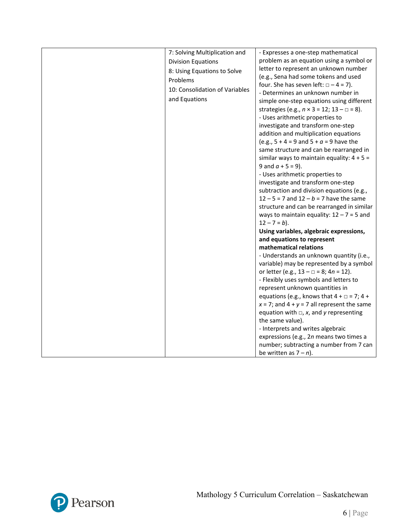| 7: Solving Multiplication and  | - Expresses a one-step mathematical                         |
|--------------------------------|-------------------------------------------------------------|
| <b>Division Equations</b>      | problem as an equation using a symbol or                    |
| 8: Using Equations to Solve    | letter to represent an unknown number                       |
| Problems                       | (e.g., Sena had some tokens and used                        |
| 10: Consolidation of Variables | four. She has seven left: $\Box - 4 = 7$ ).                 |
|                                | - Determines an unknown number in                           |
| and Equations                  | simple one-step equations using different                   |
|                                | strategies (e.g., $n \times 3 = 12$ ; $13 - \square = 8$ ). |
|                                | - Uses arithmetic properties to                             |
|                                | investigate and transform one-step                          |
|                                | addition and multiplication equations                       |
|                                | (e.g., $5 + 4 = 9$ and $5 + a = 9$ have the                 |
|                                | same structure and can be rearranged in                     |
|                                | similar ways to maintain equality: $4 + 5 =$                |
|                                | 9 and $a + 5 = 9$ ).                                        |
|                                | - Uses arithmetic properties to                             |
|                                | investigate and transform one-step                          |
|                                | subtraction and division equations (e.g.,                   |
|                                | $12 - 5 = 7$ and $12 - b = 7$ have the same                 |
|                                | structure and can be rearranged in similar                  |
|                                | ways to maintain equality: $12 - 7 = 5$ and                 |
|                                | $12 - 7 = b$ ).                                             |
|                                | Using variables, algebraic expressions,                     |
|                                | and equations to represent                                  |
|                                | mathematical relations                                      |
|                                | - Understands an unknown quantity (i.e.,                    |
|                                | variable) may be represented by a symbol                    |
|                                | or letter (e.g., $13 - \square = 8$ ; $4n = 12$ ).          |
|                                | - Flexibly uses symbols and letters to                      |
|                                | represent unknown quantities in                             |
|                                | equations (e.g., knows that $4 + \square = 7$ ; 4 +         |
|                                | $x = 7$ ; and $4 + y = 7$ all represent the same            |
|                                | equation with $\Box$ , x, and y representing                |
|                                | the same value).                                            |
|                                | - Interprets and writes algebraic                           |
|                                | expressions (e.g., 2n means two times a                     |
|                                | number; subtracting a number from 7 can                     |
|                                | be written as $7 - n$ ).                                    |

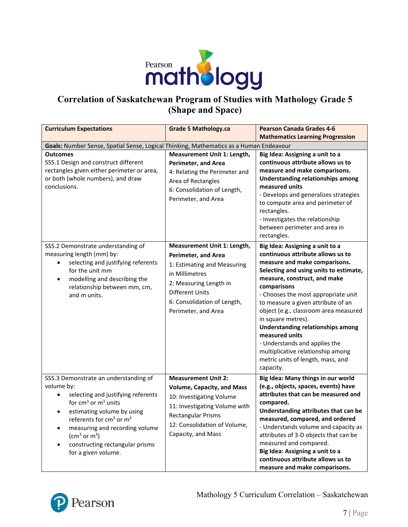

## **Correlation of Saskatchewan Program of Studies with Mathology Grade 5 (Shape and Space)**

| <b>Curriculum Expectations</b>                                                                                                                                                                                                                                                                                                                               | <b>Grade 5 Mathology.ca</b>                                                                                                                                                                                     | <b>Pearson Canada Grades 4-6</b>                                                                                                                                                                                                                                                                                                                                                                                                                                                                                          |
|--------------------------------------------------------------------------------------------------------------------------------------------------------------------------------------------------------------------------------------------------------------------------------------------------------------------------------------------------------------|-----------------------------------------------------------------------------------------------------------------------------------------------------------------------------------------------------------------|---------------------------------------------------------------------------------------------------------------------------------------------------------------------------------------------------------------------------------------------------------------------------------------------------------------------------------------------------------------------------------------------------------------------------------------------------------------------------------------------------------------------------|
| Goals: Number Sense, Spatial Sense, Logical Thinking, Mathematics as a Human Endeavour                                                                                                                                                                                                                                                                       |                                                                                                                                                                                                                 | <b>Mathematics Learning Progression</b>                                                                                                                                                                                                                                                                                                                                                                                                                                                                                   |
|                                                                                                                                                                                                                                                                                                                                                              |                                                                                                                                                                                                                 |                                                                                                                                                                                                                                                                                                                                                                                                                                                                                                                           |
| <b>Outcomes</b><br>SS5.1 Design and construct different<br>rectangles given either perimeter or area,<br>or both (whole numbers), and draw<br>conclusions.                                                                                                                                                                                                   | Measurement Unit 1: Length,<br><b>Perimeter, and Area</b><br>4: Relating the Perimeter and<br>Area of Rectangles<br>6: Consolidation of Length,<br>Perimeter, and Area                                          | Big Idea: Assigning a unit to a<br>continuous attribute allows us to<br>measure and make comparisons.<br><b>Understanding relationships among</b><br>measured units<br>- Develops and generalizes strategies<br>to compute area and perimeter of<br>rectangles.<br>- Investigates the relationship<br>between perimeter and area in<br>rectangles.                                                                                                                                                                        |
| SS5.2 Demonstrate understanding of<br>measuring length (mm) by:<br>selecting and justifying referents<br>$\bullet$<br>for the unit mm<br>modelling and describing the<br>$\bullet$<br>relationship between mm, cm,<br>and m units.                                                                                                                           | Measurement Unit 1: Length,<br>Perimeter, and Area<br>1: Estimating and Measuring<br>in Millimetres<br>2: Measuring Length in<br><b>Different Units</b><br>6: Consolidation of Length,<br>Perimeter, and Area   | Big Idea: Assigning a unit to a<br>continuous attribute allows us to<br>measure and make comparisons.<br>Selecting and using units to estimate,<br>measure, construct, and make<br>comparisons<br>- Chooses the most appropriate unit<br>to measure a given attribute of an<br>object (e.g., classroom area measured<br>in square metres).<br>Understanding relationships among<br>measured units<br>- Understands and applies the<br>multiplicative relationship among<br>metric units of length, mass, and<br>capacity. |
| SS5.3 Demonstrate an understanding of<br>volume by:<br>selecting and justifying referents<br>for $cm3$ or $m3$ units<br>estimating volume by using<br>$\bullet$<br>referents for $cm3$ or $m3$<br>measuring and recording volume<br>$\bullet$<br>(cm <sup>3</sup> or m <sup>3</sup> )<br>constructing rectangular prisms<br>$\bullet$<br>for a given volume. | <b>Measurement Unit 2:</b><br><b>Volume, Capacity, and Mass</b><br>10: Investigating Volume<br>11: Investigating Volume with<br><b>Rectangular Prisms</b><br>12: Consolidation of Volume,<br>Capacity, and Mass | Big Idea: Many things in our world<br>(e.g., objects, spaces, events) have<br>attributes that can be measured and<br>compared.<br>Understanding attributes that can be<br>measured, compared, and ordered<br>- Understands volume and capacity as<br>attributes of 3-D objects that can be<br>measured and compared.<br>Big Idea: Assigning a unit to a<br>continuous attribute allows us to<br>measure and make comparisons.                                                                                             |

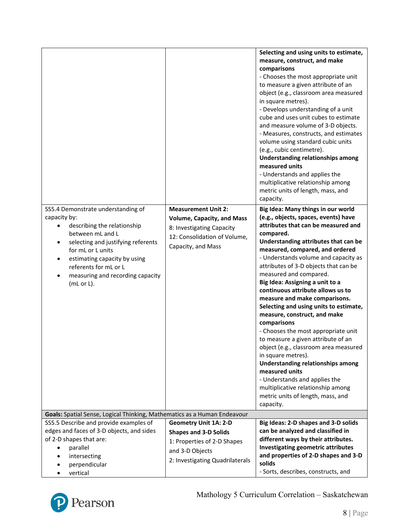| SS5.4 Demonstrate understanding of<br>capacity by:<br>describing the relationship<br>between mL and L<br>selecting and justifying referents<br>٠<br>for mL or L units<br>estimating capacity by using<br>٠<br>referents for mL or L<br>measuring and recording capacity<br>$\bullet$<br>(mL or L). | <b>Measurement Unit 2:</b><br><b>Volume, Capacity, and Mass</b><br>8: Investigating Capacity<br>12: Consolidation of Volume,<br>Capacity, and Mass | Selecting and using units to estimate,<br>measure, construct, and make<br>comparisons<br>- Chooses the most appropriate unit<br>to measure a given attribute of an<br>object (e.g., classroom area measured<br>in square metres).<br>- Develops understanding of a unit<br>cube and uses unit cubes to estimate<br>and measure volume of 3-D objects.<br>- Measures, constructs, and estimates<br>volume using standard cubic units<br>(e.g., cubic centimetre).<br><b>Understanding relationships among</b><br>measured units<br>- Understands and applies the<br>multiplicative relationship among<br>metric units of length, mass, and<br>capacity.<br>Big Idea: Many things in our world<br>(e.g., objects, spaces, events) have<br>attributes that can be measured and<br>compared.<br>Understanding attributes that can be<br>measured, compared, and ordered<br>- Understands volume and capacity as<br>attributes of 3-D objects that can be<br>measured and compared.<br>Big Idea: Assigning a unit to a<br>continuous attribute allows us to<br>measure and make comparisons.<br>Selecting and using units to estimate,<br>measure, construct, and make<br>comparisons<br>- Chooses the most appropriate unit<br>to measure a given attribute of an<br>object (e.g., classroom area measured |
|----------------------------------------------------------------------------------------------------------------------------------------------------------------------------------------------------------------------------------------------------------------------------------------------------|----------------------------------------------------------------------------------------------------------------------------------------------------|--------------------------------------------------------------------------------------------------------------------------------------------------------------------------------------------------------------------------------------------------------------------------------------------------------------------------------------------------------------------------------------------------------------------------------------------------------------------------------------------------------------------------------------------------------------------------------------------------------------------------------------------------------------------------------------------------------------------------------------------------------------------------------------------------------------------------------------------------------------------------------------------------------------------------------------------------------------------------------------------------------------------------------------------------------------------------------------------------------------------------------------------------------------------------------------------------------------------------------------------------------------------------------------------------------|
|                                                                                                                                                                                                                                                                                                    |                                                                                                                                                    | in square metres).<br>Understanding relationships among<br>measured units<br>- Understands and applies the                                                                                                                                                                                                                                                                                                                                                                                                                                                                                                                                                                                                                                                                                                                                                                                                                                                                                                                                                                                                                                                                                                                                                                                             |
|                                                                                                                                                                                                                                                                                                    |                                                                                                                                                    | multiplicative relationship among<br>metric units of length, mass, and<br>capacity.                                                                                                                                                                                                                                                                                                                                                                                                                                                                                                                                                                                                                                                                                                                                                                                                                                                                                                                                                                                                                                                                                                                                                                                                                    |
| Goals: Spatial Sense, Logical Thinking, Mathematics as a Human Endeavour                                                                                                                                                                                                                           |                                                                                                                                                    |                                                                                                                                                                                                                                                                                                                                                                                                                                                                                                                                                                                                                                                                                                                                                                                                                                                                                                                                                                                                                                                                                                                                                                                                                                                                                                        |
| SS5.5 Describe and provide examples of                                                                                                                                                                                                                                                             | <b>Geometry Unit 1A: 2-D</b>                                                                                                                       | Big Ideas: 2-D shapes and 3-D solids                                                                                                                                                                                                                                                                                                                                                                                                                                                                                                                                                                                                                                                                                                                                                                                                                                                                                                                                                                                                                                                                                                                                                                                                                                                                   |
| edges and faces of 3-D objects, and sides                                                                                                                                                                                                                                                          | <b>Shapes and 3-D Solids</b>                                                                                                                       | can be analyzed and classified in                                                                                                                                                                                                                                                                                                                                                                                                                                                                                                                                                                                                                                                                                                                                                                                                                                                                                                                                                                                                                                                                                                                                                                                                                                                                      |
| of 2-D shapes that are:                                                                                                                                                                                                                                                                            | 1: Properties of 2-D Shapes                                                                                                                        | different ways by their attributes.                                                                                                                                                                                                                                                                                                                                                                                                                                                                                                                                                                                                                                                                                                                                                                                                                                                                                                                                                                                                                                                                                                                                                                                                                                                                    |
| parallel<br>$\bullet$                                                                                                                                                                                                                                                                              |                                                                                                                                                    | Investigating geometric attributes                                                                                                                                                                                                                                                                                                                                                                                                                                                                                                                                                                                                                                                                                                                                                                                                                                                                                                                                                                                                                                                                                                                                                                                                                                                                     |
| intersecting                                                                                                                                                                                                                                                                                       | and 3-D Objects                                                                                                                                    | and properties of 2-D shapes and 3-D                                                                                                                                                                                                                                                                                                                                                                                                                                                                                                                                                                                                                                                                                                                                                                                                                                                                                                                                                                                                                                                                                                                                                                                                                                                                   |
| perpendicular                                                                                                                                                                                                                                                                                      | 2: Investigating Quadrilaterals                                                                                                                    | solids                                                                                                                                                                                                                                                                                                                                                                                                                                                                                                                                                                                                                                                                                                                                                                                                                                                                                                                                                                                                                                                                                                                                                                                                                                                                                                 |
| vertical                                                                                                                                                                                                                                                                                           |                                                                                                                                                    | - Sorts, describes, constructs, and                                                                                                                                                                                                                                                                                                                                                                                                                                                                                                                                                                                                                                                                                                                                                                                                                                                                                                                                                                                                                                                                                                                                                                                                                                                                    |

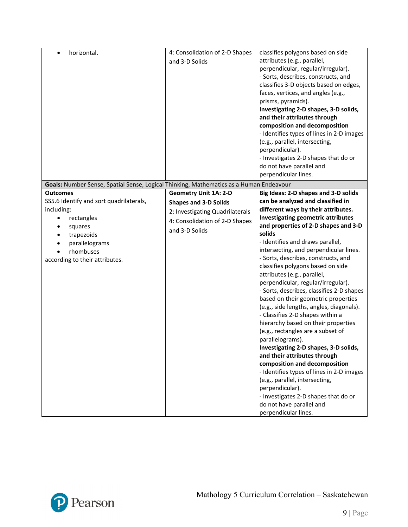| horizontal.                                                                            | 4: Consolidation of 2-D Shapes  | classifies polygons based on side         |
|----------------------------------------------------------------------------------------|---------------------------------|-------------------------------------------|
|                                                                                        | and 3-D Solids                  | attributes (e.g., parallel,               |
|                                                                                        |                                 | perpendicular, regular/irregular).        |
|                                                                                        |                                 | - Sorts, describes, constructs, and       |
|                                                                                        |                                 | classifies 3-D objects based on edges,    |
|                                                                                        |                                 | faces, vertices, and angles (e.g.,        |
|                                                                                        |                                 | prisms, pyramids).                        |
|                                                                                        |                                 | Investigating 2-D shapes, 3-D solids,     |
|                                                                                        |                                 | and their attributes through              |
|                                                                                        |                                 | composition and decomposition             |
|                                                                                        |                                 | - Identifies types of lines in 2-D images |
|                                                                                        |                                 | (e.g., parallel, intersecting,            |
|                                                                                        |                                 | perpendicular).                           |
|                                                                                        |                                 | - Investigates 2-D shapes that do or      |
|                                                                                        |                                 | do not have parallel and                  |
|                                                                                        |                                 | perpendicular lines.                      |
| Goals: Number Sense, Spatial Sense, Logical Thinking, Mathematics as a Human Endeavour |                                 |                                           |
| <b>Outcomes</b>                                                                        | <b>Geometry Unit 1A: 2-D</b>    | Big Ideas: 2-D shapes and 3-D solids      |
| SS5.6 Identify and sort quadrilaterals,                                                | <b>Shapes and 3-D Solids</b>    | can be analyzed and classified in         |
| including:                                                                             | 2: Investigating Quadrilaterals | different ways by their attributes.       |
| rectangles                                                                             |                                 | Investigating geometric attributes        |
| squares                                                                                | 4: Consolidation of 2-D Shapes  | and properties of 2-D shapes and 3-D      |
| trapezoids                                                                             | and 3-D Solids                  | solids                                    |
| parallelograms                                                                         |                                 | - Identifies and draws parallel,          |
| rhombuses                                                                              |                                 | intersecting, and perpendicular lines.    |
| according to their attributes.                                                         |                                 | - Sorts, describes, constructs, and       |
|                                                                                        |                                 | classifies polygons based on side         |
|                                                                                        |                                 | attributes (e.g., parallel,               |
|                                                                                        |                                 | perpendicular, regular/irregular).        |
|                                                                                        |                                 | - Sorts, describes, classifies 2-D shapes |
|                                                                                        |                                 | based on their geometric properties       |
|                                                                                        |                                 | (e.g., side lengths, angles, diagonals).  |
|                                                                                        |                                 | - Classifies 2-D shapes within a          |
|                                                                                        |                                 | hierarchy based on their properties       |
|                                                                                        |                                 | (e.g., rectangles are a subset of         |
|                                                                                        |                                 | parallelograms).                          |
|                                                                                        |                                 | Investigating 2-D shapes, 3-D solids,     |
|                                                                                        |                                 | and their attributes through              |
|                                                                                        |                                 | composition and decomposition             |
|                                                                                        |                                 | - Identifies types of lines in 2-D images |
|                                                                                        |                                 | (e.g., parallel, intersecting,            |
|                                                                                        |                                 | perpendicular).                           |
|                                                                                        |                                 | - Investigates 2-D shapes that do or      |
|                                                                                        |                                 | do not have parallel and                  |
|                                                                                        |                                 | perpendicular lines.                      |

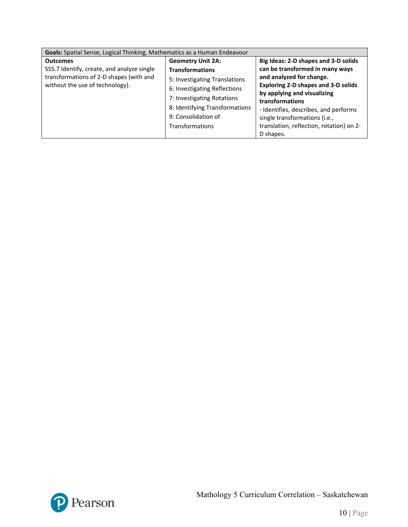| Goals: Spatial Sense, Logical Thinking, Mathematics as a Human Endeavour |                                |                                          |
|--------------------------------------------------------------------------|--------------------------------|------------------------------------------|
| <b>Outcomes</b>                                                          | <b>Geometry Unit 2A:</b>       | Big Ideas: 2-D shapes and 3-D solids     |
| SS5.7 Identify, create, and analyze single                               | <b>Transformations</b>         | can be transformed in many ways          |
| transformations of 2-D shapes (with and                                  | 5: Investigating Translations  | and analyzed for change.                 |
| without the use of technology).                                          | 6: Investigating Reflections   | Exploring 2-D shapes and 3-D solids      |
|                                                                          | 7: Investigating Rotations     | by applying and visualizing              |
|                                                                          |                                | transformations                          |
|                                                                          | 8: Identifying Transformations | - Identifies, describes, and performs    |
|                                                                          | 9: Consolidation of            | single transformations (i.e.,            |
|                                                                          | Transformations                | translation, reflection, rotation) on 2- |
|                                                                          |                                | D shapes.                                |

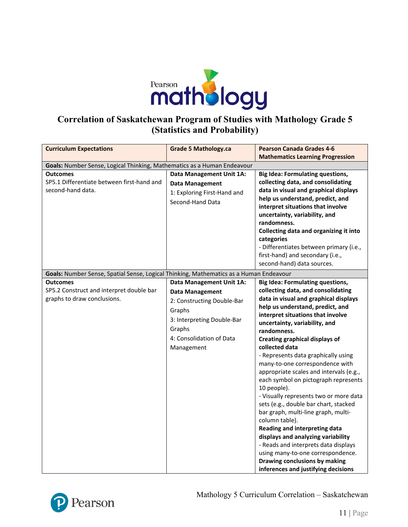

## **Correlation of Saskatchewan Program of Studies with Mathology Grade 5 (Statistics and Probability)**

| <b>Curriculum Expectations</b>                                                         | <b>Grade 5 Mathology.ca</b> | <b>Pearson Canada Grades 4-6</b>        |
|----------------------------------------------------------------------------------------|-----------------------------|-----------------------------------------|
|                                                                                        |                             | <b>Mathematics Learning Progression</b> |
|                                                                                        |                             |                                         |
| Goals: Number Sense, Logical Thinking, Mathematics as a Human Endeavour                |                             |                                         |
| <b>Outcomes</b>                                                                        | Data Management Unit 1A:    | <b>Big Idea: Formulating questions,</b> |
| SP5.1 Differentiate between first-hand and                                             | Data Management             | collecting data, and consolidating      |
| second-hand data.                                                                      | 1: Exploring First-Hand and | data in visual and graphical displays   |
|                                                                                        | Second-Hand Data            | help us understand, predict, and        |
|                                                                                        |                             | interpret situations that involve       |
|                                                                                        |                             | uncertainty, variability, and           |
|                                                                                        |                             | randomness.                             |
|                                                                                        |                             | Collecting data and organizing it into  |
|                                                                                        |                             | categories                              |
|                                                                                        |                             | - Differentiates between primary (i.e., |
|                                                                                        |                             | first-hand) and secondary (i.e.,        |
|                                                                                        |                             | second-hand) data sources.              |
| Goals: Number Sense, Spatial Sense, Logical Thinking, Mathematics as a Human Endeavour |                             |                                         |
| <b>Outcomes</b>                                                                        | Data Management Unit 1A:    | <b>Big Idea: Formulating questions,</b> |
| SP5.2 Construct and interpret double bar                                               | <b>Data Management</b>      | collecting data, and consolidating      |
| graphs to draw conclusions.                                                            | 2: Constructing Double-Bar  | data in visual and graphical displays   |
|                                                                                        | Graphs                      | help us understand, predict, and        |
|                                                                                        |                             | interpret situations that involve       |
|                                                                                        | 3: Interpreting Double-Bar  | uncertainty, variability, and           |
|                                                                                        | Graphs                      | randomness.                             |
|                                                                                        | 4: Consolidation of Data    | <b>Creating graphical displays of</b>   |
|                                                                                        | Management                  | collected data                          |
|                                                                                        |                             | - Represents data graphically using     |
|                                                                                        |                             | many-to-one correspondence with         |
|                                                                                        |                             | appropriate scales and intervals (e.g., |
|                                                                                        |                             | each symbol on pictograph represents    |
|                                                                                        |                             | 10 people).                             |
|                                                                                        |                             | - Visually represents two or more data  |
|                                                                                        |                             | sets (e.g., double bar chart, stacked   |
|                                                                                        |                             | bar graph, multi-line graph, multi-     |
|                                                                                        |                             | column table).                          |
|                                                                                        |                             | Reading and interpreting data           |
|                                                                                        |                             | displays and analyzing variability      |
|                                                                                        |                             | - Reads and interprets data displays    |
|                                                                                        |                             | using many-to-one correspondence.       |
|                                                                                        |                             | Drawing conclusions by making           |
|                                                                                        |                             | inferences and justifying decisions     |



Mathology 5 Curriculum Correlation – Saskatchewan